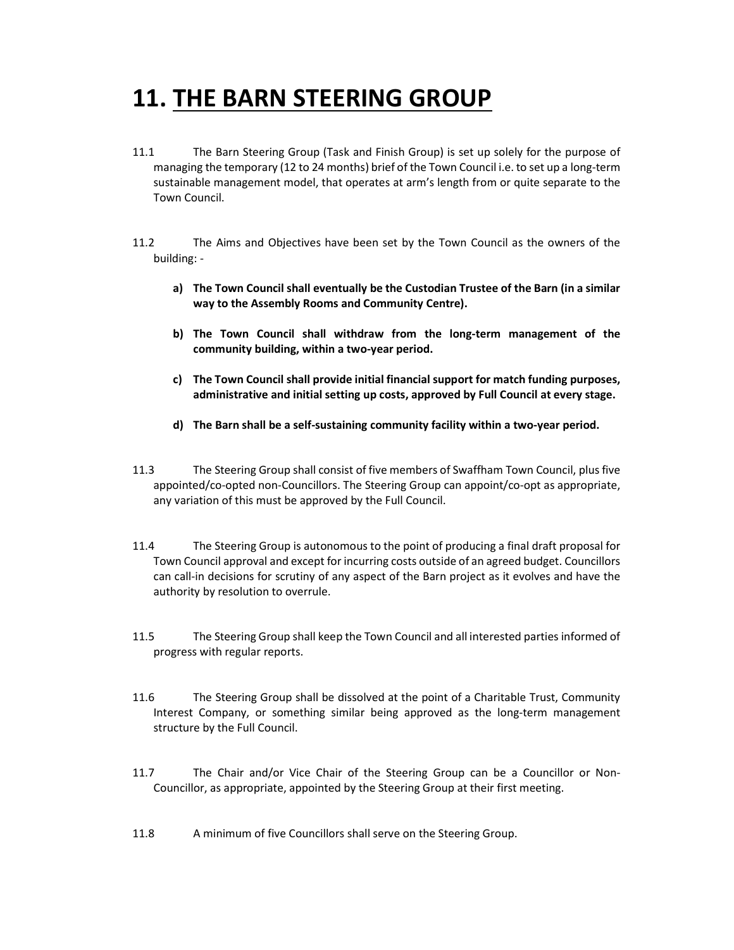## 11. THE BARN STEERING GROUP

- 11.1 The Barn Steering Group (Task and Finish Group) is set up solely for the purpose of managing the temporary (12 to 24 months) brief of the Town Council i.e. to set up a long-term sustainable management model, that operates at arm's length from or quite separate to the Town Council.
- 11.2 The Aims and Objectives have been set by the Town Council as the owners of the building:
	- a) The Town Council shall eventually be the Custodian Trustee of the Barn (in a similar way to the Assembly Rooms and Community Centre).
	- b) The Town Council shall withdraw from the long-term management of the community building, within a two-year period.
	- c) The Town Council shall provide initial financial support for match funding purposes, administrative and initial setting up costs, approved by Full Council at every stage.
	- d) The Barn shall be a self-sustaining community facility within a two-year period.
- 11.3 The Steering Group shall consist of five members of Swaffham Town Council, plus five appointed/co-opted non-Councillors. The Steering Group can appoint/co-opt as appropriate, any variation of this must be approved by the Full Council.
- 11.4 The Steering Group is autonomous to the point of producing a final draft proposal for Town Council approval and except for incurring costs outside of an agreed budget. Councillors can call-in decisions for scrutiny of any aspect of the Barn project as it evolves and have the authority by resolution to overrule.
- 11.5 The Steering Group shall keep the Town Council and all interested parties informed of progress with regular reports.
- 11.6 The Steering Group shall be dissolved at the point of a Charitable Trust, Community Interest Company, or something similar being approved as the long-term management structure by the Full Council.
- 11.7 The Chair and/or Vice Chair of the Steering Group can be a Councillor or Non-Councillor, as appropriate, appointed by the Steering Group at their first meeting.
- 11.8 A minimum of five Councillors shall serve on the Steering Group.